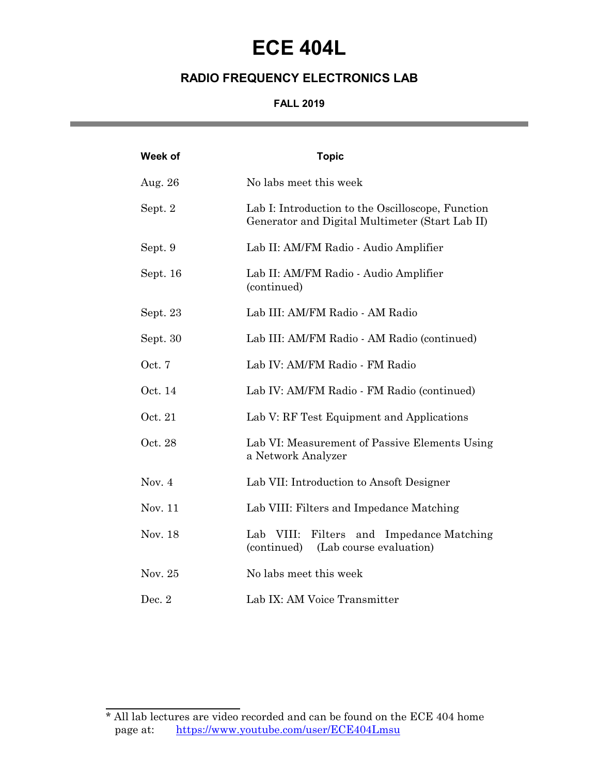# **ECE 404L**

### **RADIO FREQUENCY ELECTRONICS LAB**

#### **FALL 2019** and the control of the control of the control of

| Week of  | <b>Topic</b>                                                                                         |
|----------|------------------------------------------------------------------------------------------------------|
| Aug. 26  | No labs meet this week                                                                               |
| Sept. 2  | Lab I: Introduction to the Oscilloscope, Function<br>Generator and Digital Multimeter (Start Lab II) |
| Sept. 9  | Lab II: AM/FM Radio - Audio Amplifier                                                                |
| Sept. 16 | Lab II: AM/FM Radio - Audio Amplifier<br>(continued)                                                 |
| Sept. 23 | Lab III: AM/FM Radio - AM Radio                                                                      |
| Sept. 30 | Lab III: AM/FM Radio - AM Radio (continued)                                                          |
| Oct. 7   | Lab IV: AM/FM Radio - FM Radio                                                                       |
| Oct. 14  | Lab IV: AM/FM Radio - FM Radio (continued)                                                           |
| Oct. 21  | Lab V: RF Test Equipment and Applications                                                            |
| Oct. 28  | Lab VI: Measurement of Passive Elements Using<br>a Network Analyzer                                  |
| Nov. $4$ | Lab VII: Introduction to Ansoft Designer                                                             |
| Nov. 11  | Lab VIII: Filters and Impedance Matching                                                             |
| Nov. 18  | Lab VIII:<br>Filters and Impedance Matching<br>(continued)<br>(Lab course evaluation)                |
| Nov. 25  | No labs meet this week                                                                               |
| Dec. $2$ | Lab IX: AM Voice Transmitter                                                                         |

 $\overline{a}$ 

<sup>\*</sup> All lab lectures are video recorded and can be found on the ECE 404 home page at: https://www.youtube.com/user/ECE404Lmsu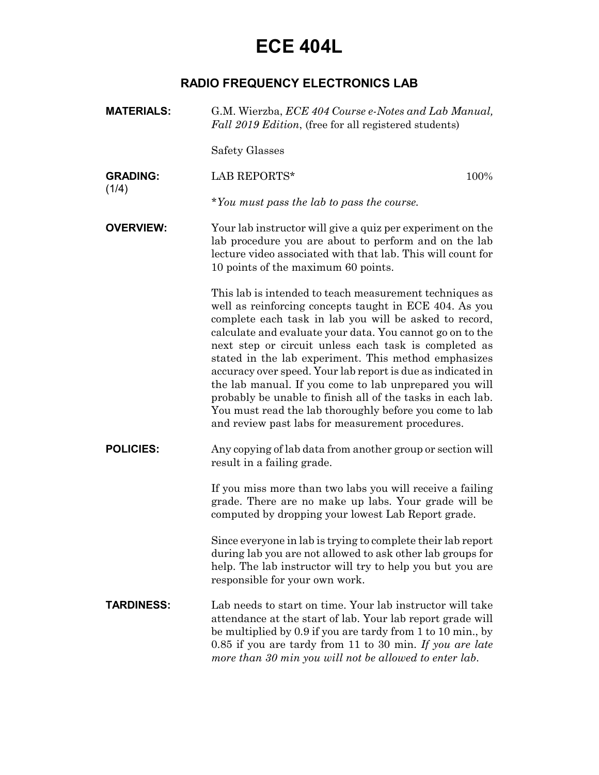# **ECE 404L**

### **RADIO FREQUENCY ELECTRONICS LAB**

| <b>MATERIALS:</b> | G.M. Wierzba, ECE 404 Course e-Notes and Lab Manual,<br>Fall 2019 Edition, (free for all registered students)                                                                                                                                                                                                                                                                                                                                                                                                                                                                                                                                                   |
|-------------------|-----------------------------------------------------------------------------------------------------------------------------------------------------------------------------------------------------------------------------------------------------------------------------------------------------------------------------------------------------------------------------------------------------------------------------------------------------------------------------------------------------------------------------------------------------------------------------------------------------------------------------------------------------------------|
|                   | Safety Glasses                                                                                                                                                                                                                                                                                                                                                                                                                                                                                                                                                                                                                                                  |
| <b>GRADING:</b>   | LAB REPORTS*<br>100%                                                                                                                                                                                                                                                                                                                                                                                                                                                                                                                                                                                                                                            |
| (1/4)             | *You must pass the lab to pass the course.                                                                                                                                                                                                                                                                                                                                                                                                                                                                                                                                                                                                                      |
| <b>OVERVIEW:</b>  | Your lab instructor will give a quiz per experiment on the<br>lab procedure you are about to perform and on the lab<br>lecture video associated with that lab. This will count for<br>10 points of the maximum 60 points.                                                                                                                                                                                                                                                                                                                                                                                                                                       |
|                   | This lab is intended to teach measurement techniques as<br>well as reinforcing concepts taught in ECE 404. As you<br>complete each task in lab you will be asked to record,<br>calculate and evaluate your data. You cannot go on to the<br>next step or circuit unless each task is completed as<br>stated in the lab experiment. This method emphasizes<br>accuracy over speed. Your lab report is due as indicated in<br>the lab manual. If you come to lab unprepared you will<br>probably be unable to finish all of the tasks in each lab.<br>You must read the lab thoroughly before you come to lab<br>and review past labs for measurement procedures. |
| <b>POLICIES:</b>  | Any copying of lab data from another group or section will<br>result in a failing grade.                                                                                                                                                                                                                                                                                                                                                                                                                                                                                                                                                                        |
|                   | If you miss more than two labs you will receive a failing<br>grade. There are no make up labs. Your grade will be<br>computed by dropping your lowest Lab Report grade.                                                                                                                                                                                                                                                                                                                                                                                                                                                                                         |
|                   | Since everyone in lab is trying to complete their lab report<br>during lab you are not allowed to ask other lab groups for<br>help. The lab instructor will try to help you but you are<br>responsible for your own work.                                                                                                                                                                                                                                                                                                                                                                                                                                       |
| <b>TARDINESS:</b> | Lab needs to start on time. Your lab instructor will take<br>attendance at the start of lab. Your lab report grade will<br>be multiplied by 0.9 if you are tardy from 1 to 10 min., by<br>0.85 if you are tardy from 11 to 30 min. If you are late<br>more than 30 min you will not be allowed to enter lab.                                                                                                                                                                                                                                                                                                                                                    |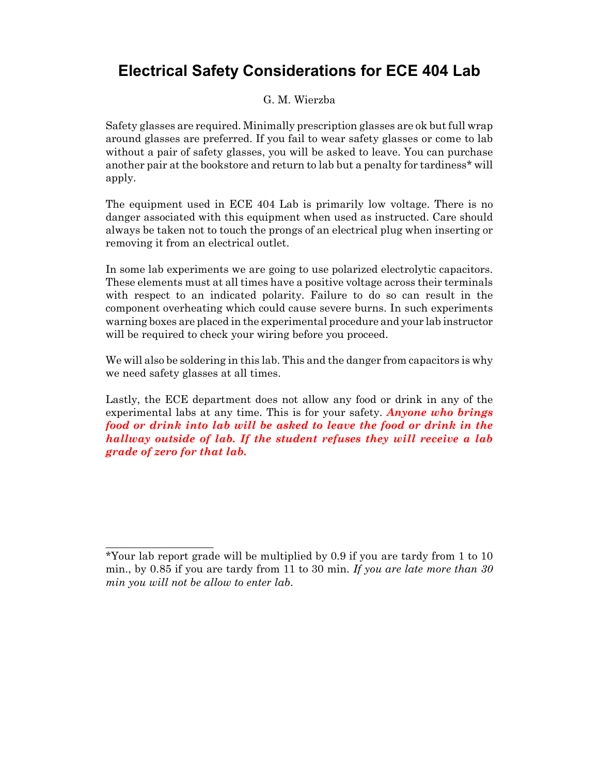## **Electrical Safety Considerations for ECE 404 Lab**

#### G. M. Wierzba

Safety glasses are required. Minimally prescription glasses are ok but full wrap around glasses are preferred. If you fail to wear safety glasses or come to lab without a pair of safety glasses, you will be asked to leave. You can purchase another pair at the bookstore and return to lab but a penalty for tardiness\* will apply.

The equipment used in ECE 404 Lab is primarily low voltage. There is no danger associated with this equipment when used as instructed. Care should always be taken not to touch the prongs of an electrical plug when inserting or removing it from an electrical outlet.

In some lab experiments we are going to use polarized electrolytic capacitors. These elements must at all times have a positive voltage across their terminals with respect to an indicated polarity. Failure to do so can result in the component overheating which could cause severe burns. In such experiments warning boxes are placed in the experimental procedure and your lab instructor will be required to check your wiring before you proceed.

We will also be soldering in this lab. This and the danger from capacitors is why we need safety glasses at all times.

Lastly, the ECE department does not allow any food or drink in any of the experimental labs at any time. This is for your safety. *Anyone who brings food or drink into lab will be asked to leave the food or drink in the hallway outside of lab. If the student refuses they will receive a lab grade of zero for that lab.*

\_\_\_\_\_\_\_\_\_\_\_\_\_\_\_\_\_\_\_\_

<sup>\*</sup>Your lab report grade will be multiplied by 0.9 if you are tardy from 1 to 10 min., by 0.85 if you are tardy from 11 to 30 min. *If you are late more than 30 min you will not be allow to enter lab*.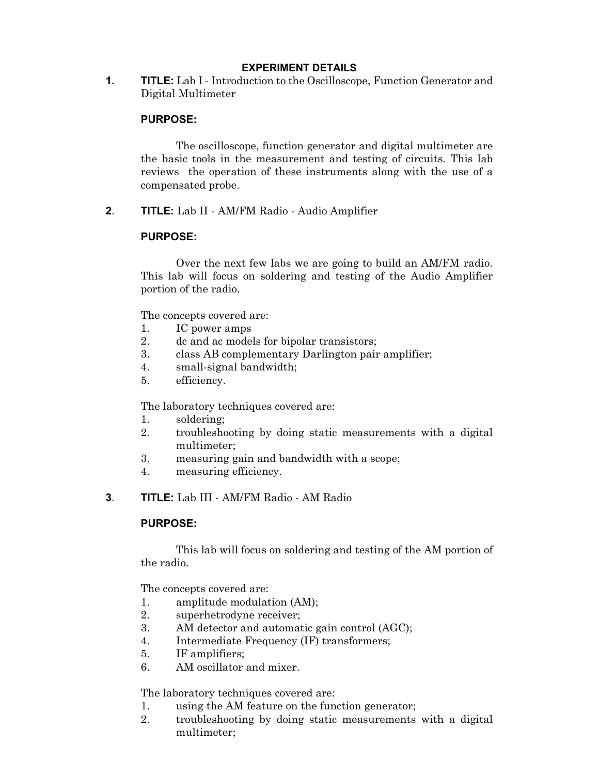#### **EXPERIMENT DETAILS**

**1. TITLE:** Lab I - Introduction to the Oscilloscope, Function Generator and Digital Multimeter

#### **PURPOSE:**

The oscilloscope, function generator and digital multimeter are the basic tools in the measurement and testing of circuits. This lab reviews the operation of these instruments along with the use of a compensated probe.

**2**. **TITLE:** Lab II - AM/FM Radio - Audio Amplifier

#### **PURPOSE:**

Over the next few labs we are going to build an AM/FM radio. This lab will focus on soldering and testing of the Audio Amplifier portion of the radio.

The concepts covered are:

- 1. IC power amps
- 2. dc and ac models for bipolar transistors;
- 3. class AB complementary Darlington pair amplifier;
- 4. small-signal bandwidth;
- 5. efficiency.

The laboratory techniques covered are:

- 1. soldering;
- 2. troubleshooting by doing static measurements with a digital multimeter;
- 3. measuring gain and bandwidth with a scope;
- 4. measuring efficiency.
- **3**. **TITLE:** Lab III AM/FM Radio AM Radio

#### **PURPOSE:**

This lab will focus on soldering and testing of the AM portion of the radio.

The concepts covered are:

- 1. amplitude modulation (AM);
- 2. superhetrodyne receiver;
- 3. AM detector and automatic gain control (AGC);
- 4. Intermediate Frequency (IF) transformers;
- 5. IF amplifiers;
- 6. AM oscillator and mixer.

The laboratory techniques covered are:

- 1. using the AM feature on the function generator;
- 2. troubleshooting by doing static measurements with a digital multimeter;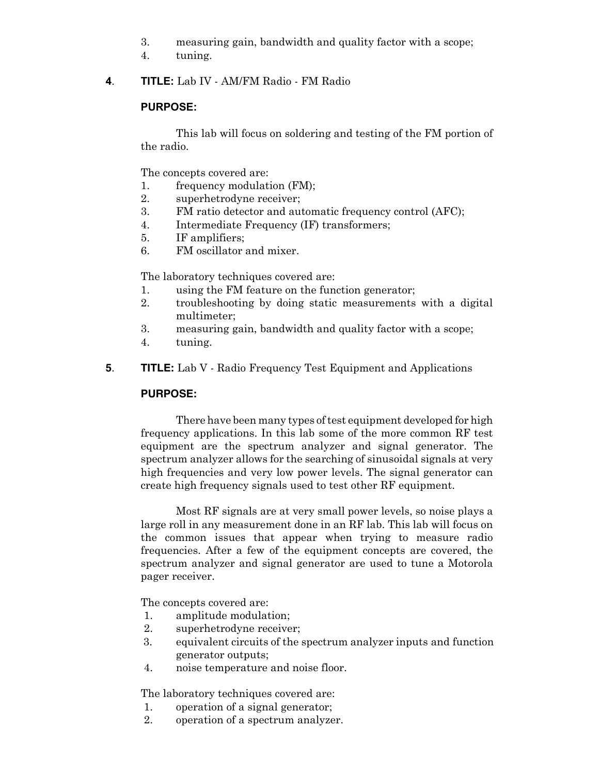- 3. measuring gain, bandwidth and quality factor with a scope;
- 4. tuning.
- **4**. **TITLE:** Lab IV AM/FM Radio FM Radio

#### **PURPOSE:**

This lab will focus on soldering and testing of the FM portion of the radio.

The concepts covered are:

- 1. frequency modulation (FM);
- 2. superhetrodyne receiver;
- 3. FM ratio detector and automatic frequency control (AFC);
- 4. Intermediate Frequency (IF) transformers;
- 5. IF amplifiers;
- 6. FM oscillator and mixer.

The laboratory techniques covered are:

- 1. using the FM feature on the function generator;
- 2. troubleshooting by doing static measurements with a digital multimeter;
- 3. measuring gain, bandwidth and quality factor with a scope;
- 4. tuning.
- **5**. **TITLE:** Lab V Radio Frequency Test Equipment and Applications

#### **PURPOSE:**

There have been many types of test equipment developed for high frequency applications. In this lab some of the more common RF test equipment are the spectrum analyzer and signal generator. The spectrum analyzer allows for the searching of sinusoidal signals at very high frequencies and very low power levels. The signal generator can create high frequency signals used to test other RF equipment.

Most RF signals are at very small power levels, so noise plays a large roll in any measurement done in an RF lab. This lab will focus on the common issues that appear when trying to measure radio frequencies. After a few of the equipment concepts are covered, the spectrum analyzer and signal generator are used to tune a Motorola pager receiver.

The concepts covered are:

- 1. amplitude modulation;
- 2. superhetrodyne receiver;
- 3. equivalent circuits of the spectrum analyzer inputs and function generator outputs;
- 4. noise temperature and noise floor.

The laboratory techniques covered are:

- 1. operation of a signal generator;
- 2. operation of a spectrum analyzer.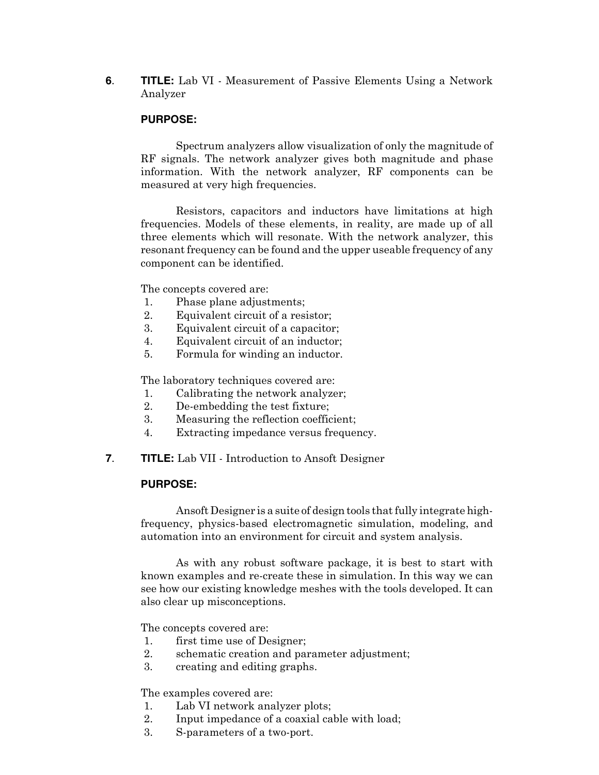**6**. **TITLE:** Lab VI - Measurement of Passive Elements Using a Network Analyzer

#### **PURPOSE:**

Spectrum analyzers allow visualization of only the magnitude of RF signals. The network analyzer gives both magnitude and phase information. With the network analyzer, RF components can be measured at very high frequencies.

Resistors, capacitors and inductors have limitations at high frequencies. Models of these elements, in reality, are made up of all three elements which will resonate. With the network analyzer, this resonant frequency can be found and the upper useable frequency of any component can be identified.

The concepts covered are:

- 1. Phase plane adjustments;
- 2. Equivalent circuit of a resistor;
- 3. Equivalent circuit of a capacitor;
- 4. Equivalent circuit of an inductor;
- 5. Formula for winding an inductor.

The laboratory techniques covered are:

- 1. Calibrating the network analyzer;
- 2. De-embedding the test fixture;
- 3. Measuring the reflection coefficient;
- 4. Extracting impedance versus frequency.
- **7**. **TITLE:** Lab VII Introduction to Ansoft Designer

#### **PURPOSE:**

Ansoft Designer is a suite of design tools that fully integrate highfrequency, physics-based electromagnetic simulation, modeling, and automation into an environment for circuit and system analysis.

As with any robust software package, it is best to start with known examples and re-create these in simulation. In this way we can see how our existing knowledge meshes with the tools developed. It can also clear up misconceptions.

The concepts covered are:

- 1. first time use of Designer;
- 2. schematic creation and parameter adjustment;
- 3. creating and editing graphs.

The examples covered are:

- 1. Lab VI network analyzer plots;
- 2. Input impedance of a coaxial cable with load;
- 3. S-parameters of a two-port.